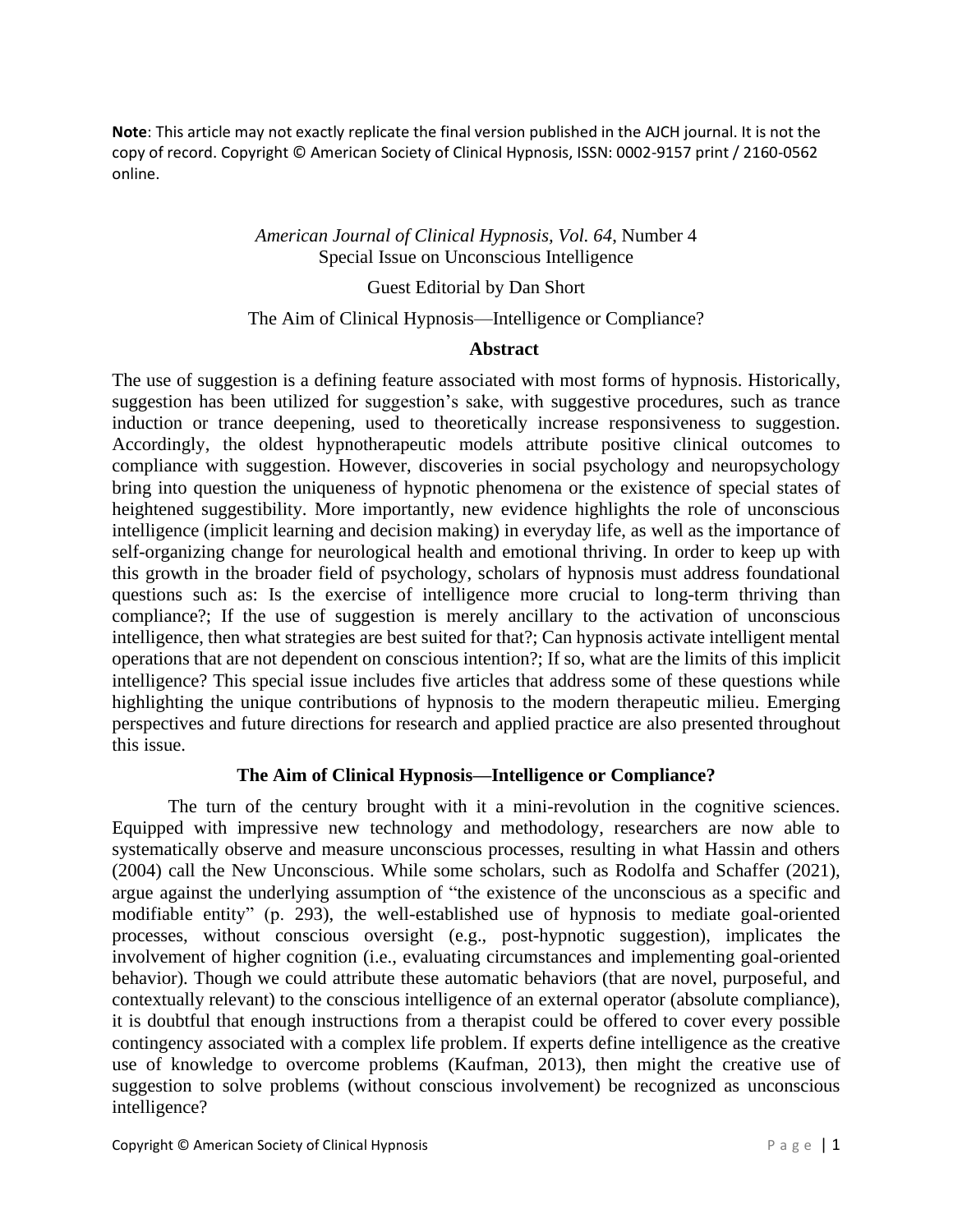**Note**: This article may not exactly replicate the final version published in the AJCH journal. It is not the copy of record. Copyright © American Society of Clinical Hypnosis, ISSN: 0002-9157 print / 2160-0562 online.

## *American Journal of Clinical Hypnosis, Vol. 64*, Number 4 Special Issue on Unconscious Intelligence

### Guest Editorial by Dan Short

### The Aim of Clinical Hypnosis—Intelligence or Compliance?

### **Abstract**

The use of suggestion is a defining feature associated with most forms of hypnosis. Historically, suggestion has been utilized for suggestion's sake, with suggestive procedures, such as trance induction or trance deepening, used to theoretically increase responsiveness to suggestion. Accordingly, the oldest hypnotherapeutic models attribute positive clinical outcomes to compliance with suggestion. However, discoveries in social psychology and neuropsychology bring into question the uniqueness of hypnotic phenomena or the existence of special states of heightened suggestibility. More importantly, new evidence highlights the role of unconscious intelligence (implicit learning and decision making) in everyday life, as well as the importance of self-organizing change for neurological health and emotional thriving. In order to keep up with this growth in the broader field of psychology, scholars of hypnosis must address foundational questions such as: Is the exercise of intelligence more crucial to long-term thriving than compliance?; If the use of suggestion is merely ancillary to the activation of unconscious intelligence, then what strategies are best suited for that?; Can hypnosis activate intelligent mental operations that are not dependent on conscious intention?; If so, what are the limits of this implicit intelligence? This special issue includes five articles that address some of these questions while highlighting the unique contributions of hypnosis to the modern therapeutic milieu. Emerging perspectives and future directions for research and applied practice are also presented throughout this issue.

## **The Aim of Clinical Hypnosis—Intelligence or Compliance?**

The turn of the century brought with it a mini-revolution in the cognitive sciences. Equipped with impressive new technology and methodology, researchers are now able to systematically observe and measure unconscious processes, resulting in what Hassin and others (2004) call the New Unconscious. While some scholars, such as Rodolfa and Schaffer (2021), argue against the underlying assumption of "the existence of the unconscious as a specific and modifiable entity" (p. 293), the well-established use of hypnosis to mediate goal-oriented processes, without conscious oversight (e.g., post-hypnotic suggestion), implicates the involvement of higher cognition (i.e., evaluating circumstances and implementing goal-oriented behavior). Though we could attribute these automatic behaviors (that are novel, purposeful, and contextually relevant) to the conscious intelligence of an external operator (absolute compliance), it is doubtful that enough instructions from a therapist could be offered to cover every possible contingency associated with a complex life problem. If experts define intelligence as the creative use of knowledge to overcome problems (Kaufman, 2013), then might the creative use of suggestion to solve problems (without conscious involvement) be recognized as unconscious intelligence?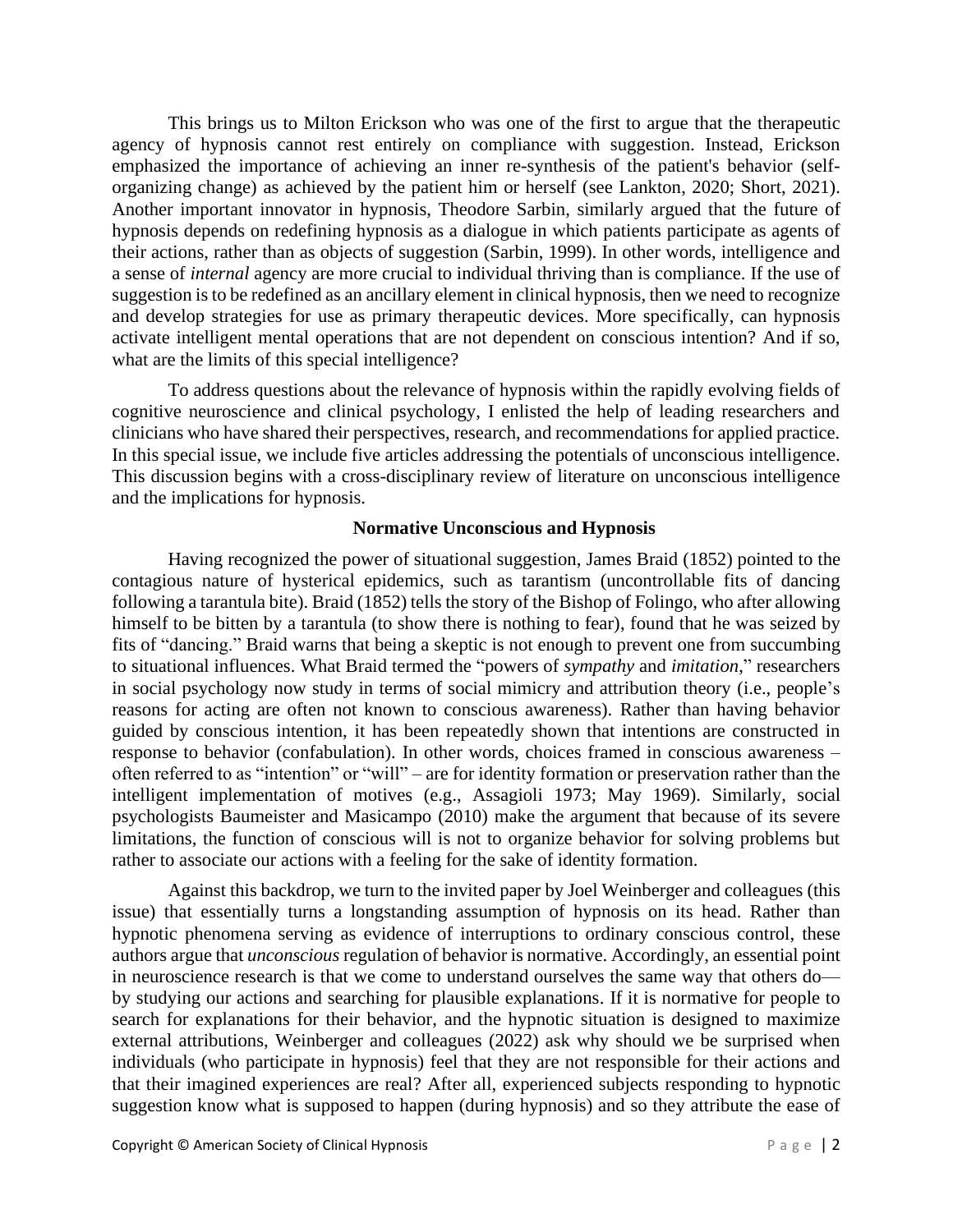This brings us to Milton Erickson who was one of the first to argue that the therapeutic agency of hypnosis cannot rest entirely on compliance with suggestion. Instead, Erickson emphasized the importance of achieving an inner re-synthesis of the patient's behavior (selforganizing change) as achieved by the patient him or herself (see Lankton, 2020; Short, 2021). Another important innovator in hypnosis, Theodore Sarbin, similarly argued that the future of hypnosis depends on redefining hypnosis as a dialogue in which patients participate as agents of their actions, rather than as objects of suggestion (Sarbin, 1999). In other words, intelligence and a sense of *internal* agency are more crucial to individual thriving than is compliance. If the use of suggestion is to be redefined as an ancillary element in clinical hypnosis, then we need to recognize and develop strategies for use as primary therapeutic devices. More specifically, can hypnosis activate intelligent mental operations that are not dependent on conscious intention? And if so, what are the limits of this special intelligence?

To address questions about the relevance of hypnosis within the rapidly evolving fields of cognitive neuroscience and clinical psychology, I enlisted the help of leading researchers and clinicians who have shared their perspectives, research, and recommendations for applied practice. In this special issue, we include five articles addressing the potentials of unconscious intelligence. This discussion begins with a cross-disciplinary review of literature on unconscious intelligence and the implications for hypnosis.

#### **Normative Unconscious and Hypnosis**

Having recognized the power of situational suggestion, James Braid (1852) pointed to the contagious nature of hysterical epidemics, such as tarantism (uncontrollable fits of dancing following a tarantula bite). Braid (1852) tells the story of the Bishop of Folingo, who after allowing himself to be bitten by a tarantula (to show there is nothing to fear), found that he was seized by fits of "dancing." Braid warns that being a skeptic is not enough to prevent one from succumbing to situational influences. What Braid termed the "powers of *sympathy* and *imitation*," researchers in social psychology now study in terms of social mimicry and attribution theory (i.e., people's reasons for acting are often not known to conscious awareness). Rather than having behavior guided by conscious intention, it has been repeatedly shown that intentions are constructed in response to behavior (confabulation). In other words, choices framed in conscious awareness – often referred to as "intention" or "will" – are for identity formation or preservation rather than the intelligent implementation of motives (e.g., Assagioli 1973; May 1969). Similarly, social psychologists Baumeister and Masicampo (2010) make the argument that because of its severe limitations, the function of conscious will is not to organize behavior for solving problems but rather to associate our actions with a feeling for the sake of identity formation.

Against this backdrop, we turn to the invited paper by Joel Weinberger and colleagues (this issue) that essentially turns a longstanding assumption of hypnosis on its head. Rather than hypnotic phenomena serving as evidence of interruptions to ordinary conscious control, these authors argue that *unconscious* regulation of behavior is normative. Accordingly, an essential point in neuroscience research is that we come to understand ourselves the same way that others do by studying our actions and searching for plausible explanations. If it is normative for people to search for explanations for their behavior, and the hypnotic situation is designed to maximize external attributions, Weinberger and colleagues (2022) ask why should we be surprised when individuals (who participate in hypnosis) feel that they are not responsible for their actions and that their imagined experiences are real? After all, experienced subjects responding to hypnotic suggestion know what is supposed to happen (during hypnosis) and so they attribute the ease of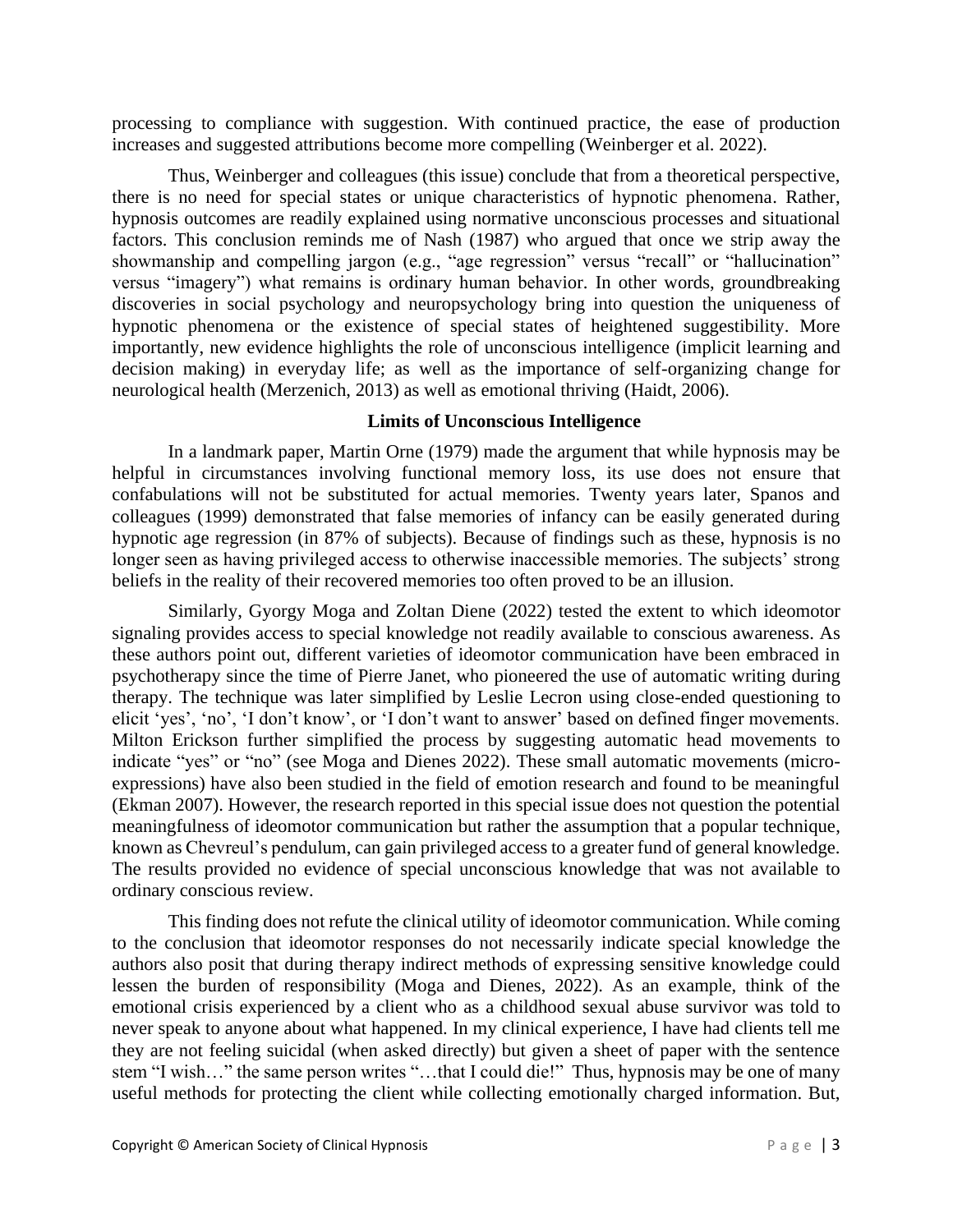processing to compliance with suggestion. With continued practice, the ease of production increases and suggested attributions become more compelling (Weinberger et al. 2022).

Thus, Weinberger and colleagues (this issue) conclude that from a theoretical perspective, there is no need for special states or unique characteristics of hypnotic phenomena. Rather, hypnosis outcomes are readily explained using normative unconscious processes and situational factors. This conclusion reminds me of Nash (1987) who argued that once we strip away the showmanship and compelling jargon (e.g., "age regression" versus "recall" or "hallucination" versus "imagery") what remains is ordinary human behavior. In other words, groundbreaking discoveries in social psychology and neuropsychology bring into question the uniqueness of hypnotic phenomena or the existence of special states of heightened suggestibility. More importantly, new evidence highlights the role of unconscious intelligence (implicit learning and decision making) in everyday life; as well as the importance of self-organizing change for neurological health (Merzenich, 2013) as well as emotional thriving (Haidt, 2006).

## **Limits of Unconscious Intelligence**

In a landmark paper, Martin Orne (1979) made the argument that while hypnosis may be helpful in circumstances involving functional memory loss, its use does not ensure that confabulations will not be substituted for actual memories. Twenty years later, Spanos and colleagues (1999) demonstrated that false memories of infancy can be easily generated during hypnotic age regression (in 87% of subjects). Because of findings such as these, hypnosis is no longer seen as having privileged access to otherwise inaccessible memories. The subjects' strong beliefs in the reality of their recovered memories too often proved to be an illusion.

Similarly, Gyorgy Moga and Zoltan Diene (2022) tested the extent to which ideomotor signaling provides access to special knowledge not readily available to conscious awareness. As these authors point out, different varieties of ideomotor communication have been embraced in psychotherapy since the time of Pierre Janet, who pioneered the use of automatic writing during therapy. The technique was later simplified by Leslie Lecron using close-ended questioning to elicit 'yes', 'no', 'I don't know', or 'I don't want to answer' based on defined finger movements. Milton Erickson further simplified the process by suggesting automatic head movements to indicate "yes" or "no" (see Moga and Dienes 2022). These small automatic movements (microexpressions) have also been studied in the field of emotion research and found to be meaningful (Ekman 2007). However, the research reported in this special issue does not question the potential meaningfulness of ideomotor communication but rather the assumption that a popular technique, known as Chevreul's pendulum, can gain privileged access to a greater fund of general knowledge. The results provided no evidence of special unconscious knowledge that was not available to ordinary conscious review.

This finding does not refute the clinical utility of ideomotor communication. While coming to the conclusion that ideomotor responses do not necessarily indicate special knowledge the authors also posit that during therapy indirect methods of expressing sensitive knowledge could lessen the burden of responsibility (Moga and Dienes, 2022). As an example, think of the emotional crisis experienced by a client who as a childhood sexual abuse survivor was told to never speak to anyone about what happened. In my clinical experience, I have had clients tell me they are not feeling suicidal (when asked directly) but given a sheet of paper with the sentence stem "I wish…" the same person writes "…that I could die!" Thus, hypnosis may be one of many useful methods for protecting the client while collecting emotionally charged information. But,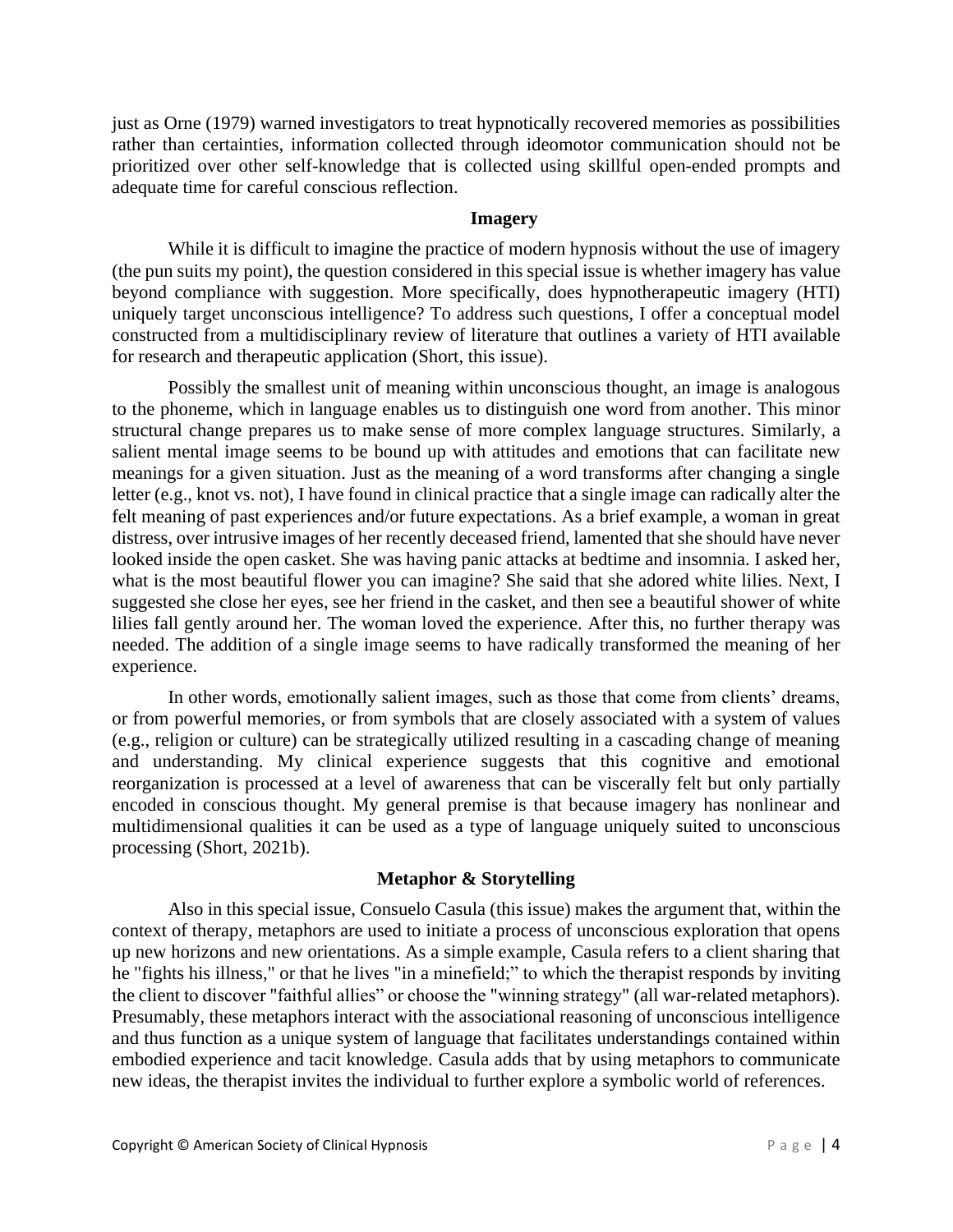just as Orne (1979) warned investigators to treat hypnotically recovered memories as possibilities rather than certainties, information collected through ideomotor communication should not be prioritized over other self-knowledge that is collected using skillful open-ended prompts and adequate time for careful conscious reflection.

### **Imagery**

While it is difficult to imagine the practice of modern hypnosis without the use of imagery (the pun suits my point), the question considered in this special issue is whether imagery has value beyond compliance with suggestion. More specifically, does hypnotherapeutic imagery (HTI) uniquely target unconscious intelligence? To address such questions, I offer a conceptual model constructed from a multidisciplinary review of literature that outlines a variety of HTI available for research and therapeutic application (Short, this issue).

Possibly the smallest unit of meaning within unconscious thought, an image is analogous to the phoneme, which in language enables us to distinguish one word from another. This minor structural change prepares us to make sense of more complex language structures. Similarly, a salient mental image seems to be bound up with attitudes and emotions that can facilitate new meanings for a given situation. Just as the meaning of a word transforms after changing a single letter (e.g., knot vs. not), I have found in clinical practice that a single image can radically alter the felt meaning of past experiences and/or future expectations. As a brief example, a woman in great distress, over intrusive images of her recently deceased friend, lamented that she should have never looked inside the open casket. She was having panic attacks at bedtime and insomnia. I asked her, what is the most beautiful flower you can imagine? She said that she adored white lilies. Next, I suggested she close her eyes, see her friend in the casket, and then see a beautiful shower of white lilies fall gently around her. The woman loved the experience. After this, no further therapy was needed. The addition of a single image seems to have radically transformed the meaning of her experience.

In other words, emotionally salient images, such as those that come from clients' dreams, or from powerful memories, or from symbols that are closely associated with a system of values (e.g., religion or culture) can be strategically utilized resulting in a cascading change of meaning and understanding. My clinical experience suggests that this cognitive and emotional reorganization is processed at a level of awareness that can be viscerally felt but only partially encoded in conscious thought. My general premise is that because imagery has nonlinear and multidimensional qualities it can be used as a type of language uniquely suited to unconscious processing (Short, 2021b).

# **Metaphor & Storytelling**

Also in this special issue, Consuelo Casula (this issue) makes the argument that, within the context of therapy, metaphors are used to initiate a process of unconscious exploration that opens up new horizons and new orientations. As a simple example, Casula refers to a client sharing that he "fights his illness," or that he lives "in a minefield;" to which the therapist responds by inviting the client to discover "faithful allies" or choose the "winning strategy" (all war-related metaphors). Presumably, these metaphors interact with the associational reasoning of unconscious intelligence and thus function as a unique system of language that facilitates understandings contained within embodied experience and tacit knowledge. Casula adds that by using metaphors to communicate new ideas, the therapist invites the individual to further explore a symbolic world of references.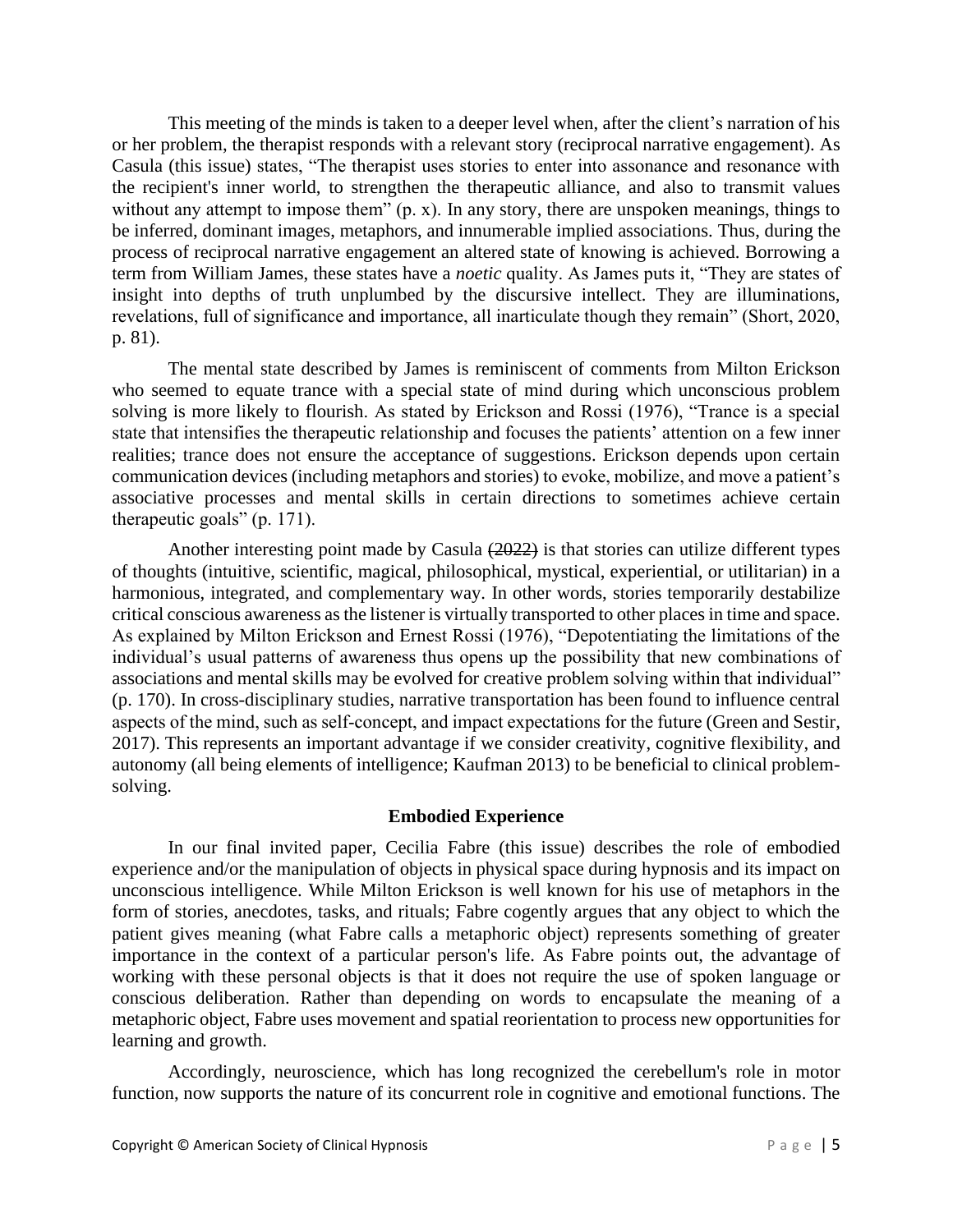This meeting of the minds is taken to a deeper level when, after the client's narration of his or her problem, the therapist responds with a relevant story (reciprocal narrative engagement). As Casula (this issue) states, "The therapist uses stories to enter into assonance and resonance with the recipient's inner world, to strengthen the therapeutic alliance, and also to transmit values without any attempt to impose them" (p. x). In any story, there are unspoken meanings, things to be inferred, dominant images, metaphors, and innumerable implied associations. Thus, during the process of reciprocal narrative engagement an altered state of knowing is achieved. Borrowing a term from William James, these states have a *noetic* quality. As James puts it, "They are states of insight into depths of truth unplumbed by the discursive intellect. They are illuminations, revelations, full of significance and importance, all inarticulate though they remain" (Short, 2020, p. 81).

The mental state described by James is reminiscent of comments from Milton Erickson who seemed to equate trance with a special state of mind during which unconscious problem solving is more likely to flourish. As stated by Erickson and Rossi (1976), "Trance is a special state that intensifies the therapeutic relationship and focuses the patients' attention on a few inner realities; trance does not ensure the acceptance of suggestions. Erickson depends upon certain communication devices (including metaphors and stories) to evoke, mobilize, and move a patient's associative processes and mental skills in certain directions to sometimes achieve certain therapeutic goals" (p. 171).

Another interesting point made by Casula (2022) is that stories can utilize different types of thoughts (intuitive, scientific, magical, philosophical, mystical, experiential, or utilitarian) in a harmonious, integrated, and complementary way. In other words, stories temporarily destabilize critical conscious awareness as the listener is virtually transported to other places in time and space. As explained by Milton Erickson and Ernest Rossi (1976), "Depotentiating the limitations of the individual's usual patterns of awareness thus opens up the possibility that new combinations of associations and mental skills may be evolved for creative problem solving within that individual" (p. 170). In cross-disciplinary studies, narrative transportation has been found to influence central aspects of the mind, such as self‐concept, and impact expectations for the future (Green and Sestir, 2017). This represents an important advantage if we consider creativity, cognitive flexibility, and autonomy (all being elements of intelligence; Kaufman 2013) to be beneficial to clinical problemsolving.

# **Embodied Experience**

In our final invited paper, Cecilia Fabre (this issue) describes the role of embodied experience and/or the manipulation of objects in physical space during hypnosis and its impact on unconscious intelligence. While Milton Erickson is well known for his use of metaphors in the form of stories, anecdotes, tasks, and rituals; Fabre cogently argues that any object to which the patient gives meaning (what Fabre calls a metaphoric object) represents something of greater importance in the context of a particular person's life. As Fabre points out, the advantage of working with these personal objects is that it does not require the use of spoken language or conscious deliberation. Rather than depending on words to encapsulate the meaning of a metaphoric object, Fabre uses movement and spatial reorientation to process new opportunities for learning and growth.

Accordingly, neuroscience, which has long recognized the cerebellum's role in motor function, now supports the nature of its concurrent role in cognitive and emotional functions. The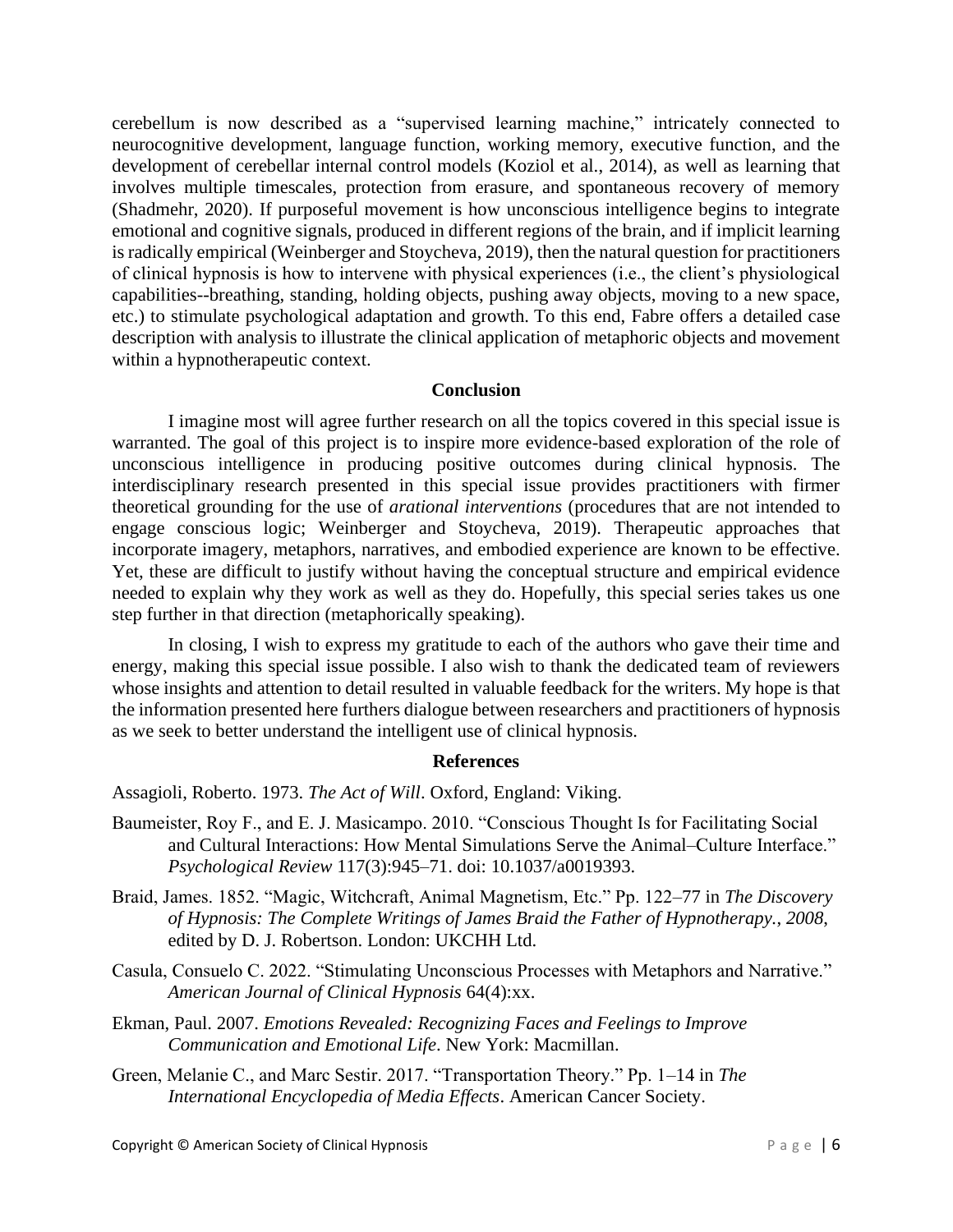cerebellum is now described as a "supervised learning machine," intricately connected to neurocognitive development, language function, working memory, executive function, and the development of cerebellar internal control models (Koziol et al., 2014), as well as learning that involves multiple timescales, protection from erasure, and spontaneous recovery of memory (Shadmehr, 2020). If purposeful movement is how unconscious intelligence begins to integrate emotional and cognitive signals, produced in different regions of the brain, and if implicit learning is radically empirical (Weinberger and Stoycheva, 2019), then the natural question for practitioners of clinical hypnosis is how to intervene with physical experiences (i.e., the client's physiological capabilities--breathing, standing, holding objects, pushing away objects, moving to a new space, etc.) to stimulate psychological adaptation and growth. To this end, Fabre offers a detailed case description with analysis to illustrate the clinical application of metaphoric objects and movement within a hypnotherapeutic context.

### **Conclusion**

I imagine most will agree further research on all the topics covered in this special issue is warranted. The goal of this project is to inspire more evidence-based exploration of the role of unconscious intelligence in producing positive outcomes during clinical hypnosis. The interdisciplinary research presented in this special issue provides practitioners with firmer theoretical grounding for the use of *arational interventions* (procedures that are not intended to engage conscious logic; Weinberger and Stoycheva, 2019). Therapeutic approaches that incorporate imagery, metaphors, narratives, and embodied experience are known to be effective. Yet, these are difficult to justify without having the conceptual structure and empirical evidence needed to explain why they work as well as they do. Hopefully, this special series takes us one step further in that direction (metaphorically speaking).

In closing, I wish to express my gratitude to each of the authors who gave their time and energy, making this special issue possible. I also wish to thank the dedicated team of reviewers whose insights and attention to detail resulted in valuable feedback for the writers. My hope is that the information presented here furthers dialogue between researchers and practitioners of hypnosis as we seek to better understand the intelligent use of clinical hypnosis.

# **References**

Assagioli, Roberto. 1973. *The Act of Will*. Oxford, England: Viking.

- Baumeister, Roy F., and E. J. Masicampo. 2010. "Conscious Thought Is for Facilitating Social and Cultural Interactions: How Mental Simulations Serve the Animal–Culture Interface." *Psychological Review* 117(3):945–71. doi: 10.1037/a0019393.
- Braid, James. 1852. "Magic, Witchcraft, Animal Magnetism, Etc." Pp. 122–77 in *The Discovery of Hypnosis: The Complete Writings of James Braid the Father of Hypnotherapy.*, *2008*, edited by D. J. Robertson. London: UKCHH Ltd.
- Casula, Consuelo C. 2022. "Stimulating Unconscious Processes with Metaphors and Narrative." *American Journal of Clinical Hypnosis* 64(4):xx.
- Ekman, Paul. 2007. *Emotions Revealed: Recognizing Faces and Feelings to Improve Communication and Emotional Life*. New York: Macmillan.
- Green, Melanie C., and Marc Sestir. 2017. "Transportation Theory." Pp. 1–14 in *The International Encyclopedia of Media Effects*. American Cancer Society.